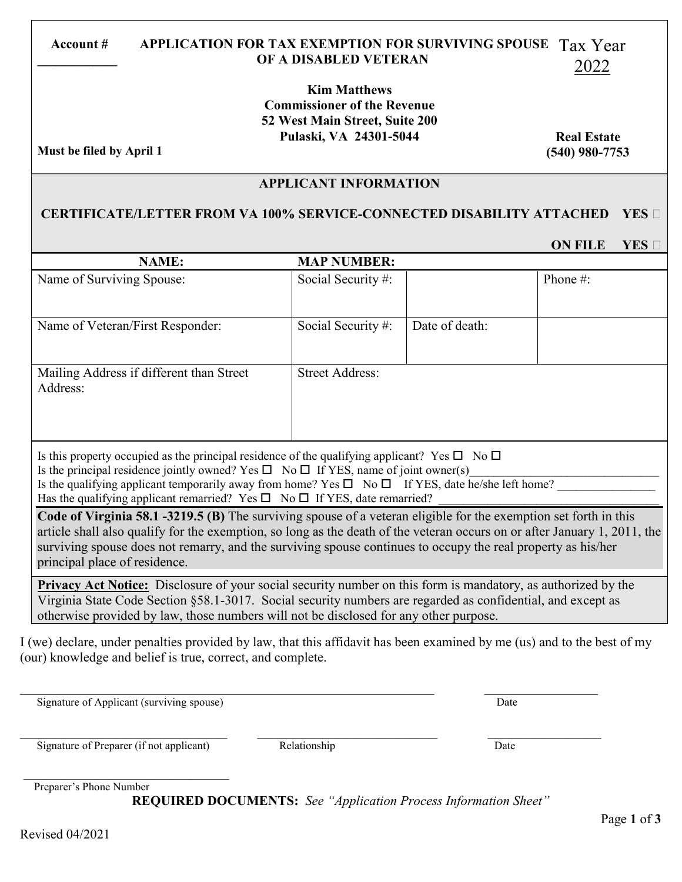#### **Account # APPLICATION FOR TAX EXEMPTION FOR SURVIVING SPOUSE** Tax Year **\_\_\_\_\_\_\_\_\_\_\_\_\_ OF A DISABLED VETERAN** 2022

**Kim Matthews Commissioner of the Revenue 52 West Main Street, Suite 200 Pulaski, VA 24301-5044**

**Must be filed by April 1**

**Real Estate (540) 980-7753**

### **APPLICANT INFORMATION**

### **CERTIFICATE/LETTER FROM VA 100% SERVICE-CONNECTED DISABILITY ATTACHED YES**

# **ON FILE**   $YES \Box$

| <b>MAP NUMBER:</b>                                                                                                                                                                                                                                                 |                |             |  |  |
|--------------------------------------------------------------------------------------------------------------------------------------------------------------------------------------------------------------------------------------------------------------------|----------------|-------------|--|--|
| Social Security #:                                                                                                                                                                                                                                                 |                | Phone $#$ : |  |  |
|                                                                                                                                                                                                                                                                    |                |             |  |  |
| Social Security #:                                                                                                                                                                                                                                                 | Date of death: |             |  |  |
|                                                                                                                                                                                                                                                                    |                |             |  |  |
| <b>Street Address:</b>                                                                                                                                                                                                                                             |                |             |  |  |
|                                                                                                                                                                                                                                                                    |                |             |  |  |
|                                                                                                                                                                                                                                                                    |                |             |  |  |
|                                                                                                                                                                                                                                                                    |                |             |  |  |
| Is this property occupied as the principal residence of the qualifying applicant? Yes $\square$ No $\square$<br>Is the principal residence igntly evened? $V_{\alpha\beta} \prod_{\alpha} V_{\alpha} \prod_{\beta} V_{\beta}$ if $V_{\alpha}$ neme of ignt evened. |                |             |  |  |
|                                                                                                                                                                                                                                                                    |                |             |  |  |

Is the principal residence jointly owned? Yes  $\Box$  No  $\Box$  If YES, name of joint owner(s) Is the qualifying applicant temporarily away from home? Yes  $\Box$  No  $\Box$  If YES, date he/she left home? Has the qualifying applicant remarried? Yes  $\Box$  No  $\Box$  If YES, date remarried?

**Code of Virginia 58.1 -3219.5 (B)** The surviving spouse of a veteran eligible for the exemption set forth in this article shall also qualify for the exemption, so long as the death of the veteran occurs on or after January 1, 2011, the surviving spouse does not remarry, and the surviving spouse continues to occupy the real property as his/her principal place of residence.

**Privacy Act Notice:** Disclosure of your social security number on this form is mandatory, as authorized by the Virginia State Code Section §58.1-3017. Social security numbers are regarded as confidential, and except as otherwise provided by law, those numbers will not be disclosed for any other purpose.

I (we) declare, under penalties provided by law, that this affidavit has been examined by me (us) and to the best of my (our) knowledge and belief is true, correct, and complete.

Signature of Applicant (surviving spouse) Date

 $\mathcal{L}_\text{max}$  , and the contribution of the contribution of the contribution of the contribution of the contribution of the contribution of the contribution of the contribution of the contribution of the contribution of t

Signature of Preparer (if not applicant) Relationship Relationship Date

 $\mathcal{L}_\text{max}$  and  $\mathcal{L}_\text{max}$  and  $\mathcal{L}_\text{max}$  and  $\mathcal{L}_\text{max}$ Preparer's Phone Number

**REQUIRED DOCUMENTS:** *See "Application Process Information Sheet"*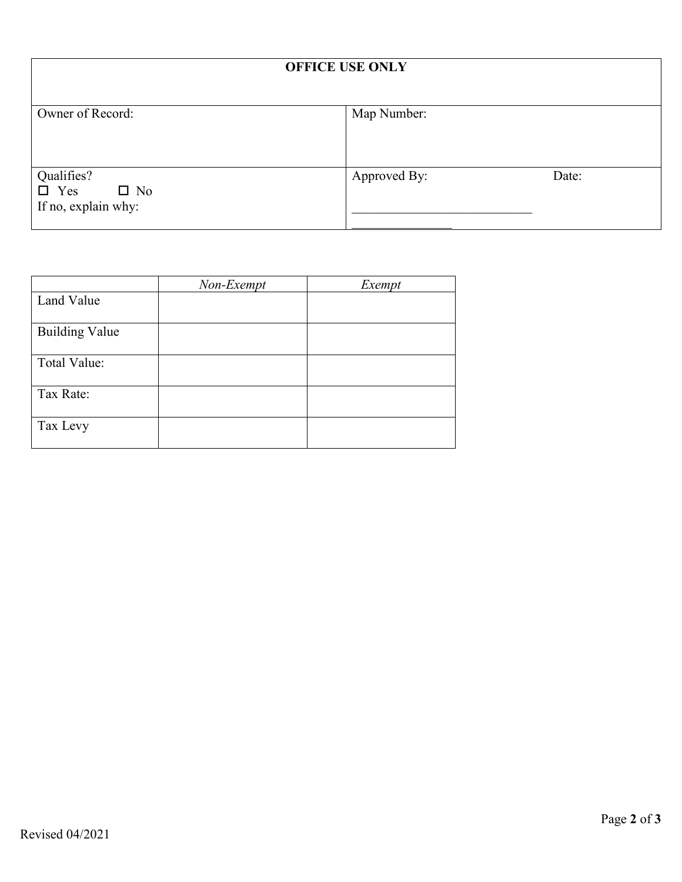| <b>OFFICE USE ONLY</b>                                          |              |       |  |
|-----------------------------------------------------------------|--------------|-------|--|
| Owner of Record:                                                | Map Number:  |       |  |
| Qualifies?<br>$\Box$ Yes<br>$\square$ No<br>If no, explain why: | Approved By: | Date: |  |

|                       | Non-Exempt | Exempt |
|-----------------------|------------|--------|
| Land Value            |            |        |
| <b>Building Value</b> |            |        |
| Total Value:          |            |        |
| Tax Rate:             |            |        |
| Tax Levy              |            |        |